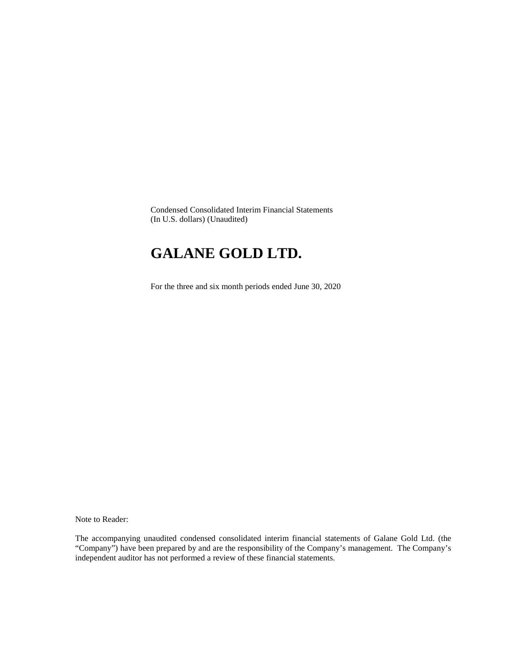Condensed Consolidated Interim Financial Statements (In U.S. dollars) (Unaudited)

# **GALANE GOLD LTD.**

For the three and six month periods ended June 30, 2020

Note to Reader:

The accompanying unaudited condensed consolidated interim financial statements of Galane Gold Ltd. (the "Company") have been prepared by and are the responsibility of the Company's management. The Company's independent auditor has not performed a review of these financial statements.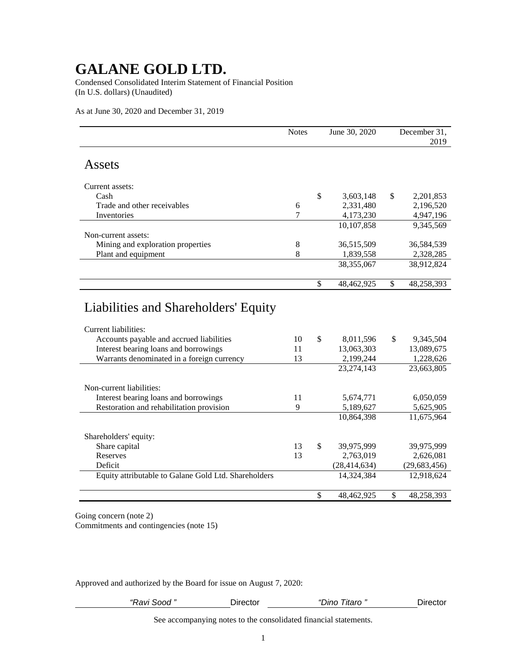Condensed Consolidated Interim Statement of Financial Position (In U.S. dollars) (Unaudited)

As at June 30, 2020 and December 31, 2019

|                                                                                                                                                                                                 | <b>Notes</b>   | June 30, 2020                              |               | December 31,<br>2019                 |
|-------------------------------------------------------------------------------------------------------------------------------------------------------------------------------------------------|----------------|--------------------------------------------|---------------|--------------------------------------|
| Assets                                                                                                                                                                                          |                |                                            |               |                                      |
| Current assets:                                                                                                                                                                                 |                |                                            |               |                                      |
| Cash                                                                                                                                                                                            |                | \$<br>3,603,148                            | \$            | 2,201,853                            |
| Trade and other receivables                                                                                                                                                                     | 6              | 2,331,480                                  |               | 2,196,520                            |
| Inventories                                                                                                                                                                                     | 7              | 4,173,230                                  |               | 4,947,196                            |
|                                                                                                                                                                                                 |                | 10,107,858                                 |               | 9,345,569                            |
| Non-current assets:                                                                                                                                                                             |                |                                            |               |                                      |
| Mining and exploration properties                                                                                                                                                               | 8              | 36,515,509                                 |               | 36,584,539                           |
| Plant and equipment                                                                                                                                                                             | 8              | 1,839,558                                  |               | 2,328,285                            |
|                                                                                                                                                                                                 |                | 38, 355, 067                               |               | 38,912,824                           |
|                                                                                                                                                                                                 |                |                                            |               |                                      |
|                                                                                                                                                                                                 |                | \$<br>48,462,925                           | $\mathcal{S}$ | 48,258,393                           |
| Liabilities and Shareholders' Equity<br>Current liabilities:<br>Accounts payable and accrued liabilities<br>Interest bearing loans and borrowings<br>Warrants denominated in a foreign currency | 10<br>11<br>13 | \$<br>8,011,596<br>13,063,303<br>2,199,244 | \$            | 9,345,504<br>13,089,675<br>1,228,626 |
|                                                                                                                                                                                                 |                | 23, 274, 143                               |               | 23,663,805                           |
| Non-current liabilities:                                                                                                                                                                        |                |                                            |               |                                      |
| Interest bearing loans and borrowings                                                                                                                                                           | 11             | 5,674,771                                  |               | 6,050,059                            |
| Restoration and rehabilitation provision                                                                                                                                                        | 9              | 5,189,627                                  |               | 5,625,905                            |
|                                                                                                                                                                                                 |                | 10,864,398                                 |               | 11,675,964                           |
|                                                                                                                                                                                                 |                |                                            |               |                                      |
| Shareholders' equity:                                                                                                                                                                           |                |                                            |               |                                      |
| Share capital                                                                                                                                                                                   | 13             | \$<br>39,975,999                           |               | 39,975,999                           |
| Reserves                                                                                                                                                                                        | 13             | 2,763,019                                  |               | 2,626,081                            |
| Deficit                                                                                                                                                                                         |                | (28, 414, 634)                             |               | (29, 683, 456)                       |
| Equity attributable to Galane Gold Ltd. Shareholders                                                                                                                                            |                | 14,324,384                                 |               | 12,918,624                           |
|                                                                                                                                                                                                 |                | \$<br>48,462,925                           | $\mathbb{S}$  | 48,258,393                           |

Going concern (note 2) Commitments and contingencies (note 15)

Approved and authorized by the Board for issue on August 7, 2020:

| "<br>Ravı<br>S000 | มrector | $\mathcal{L}$<br>∟ïtaro ″<br>יט∩ו | <b>Directo</b> .<br>∆∩t∩r |
|-------------------|---------|-----------------------------------|---------------------------|
|                   |         |                                   |                           |

See accompanying notes to the consolidated financial statements.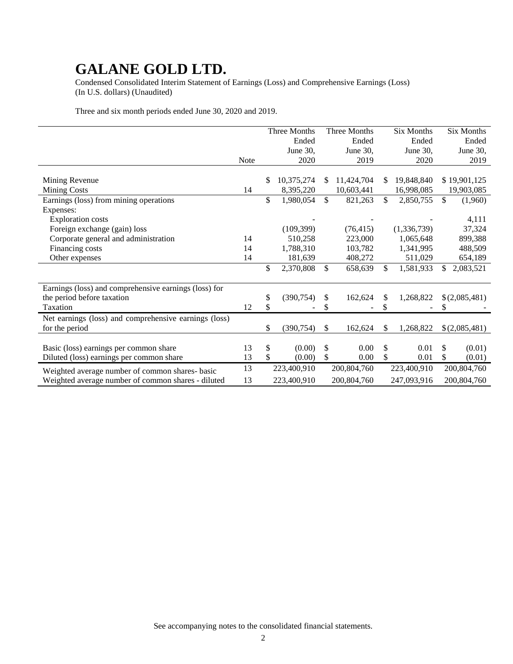Condensed Consolidated Interim Statement of Earnings (Loss) and Comprehensive Earnings (Loss) (In U.S. dollars) (Unaudited)

Three and six month periods ended June 30, 2020 and 2019.

|                                                       |      |    | Three Months |              | Three Months |     | Six Months  | <b>Six Months</b>       |
|-------------------------------------------------------|------|----|--------------|--------------|--------------|-----|-------------|-------------------------|
|                                                       |      |    | Ended        |              | Ended        |     | Ended       | Ended                   |
|                                                       |      |    | June 30,     |              | June 30,     |     | June 30,    | June 30,                |
|                                                       | Note |    | 2020         |              | 2019         |     | 2020        | 2019                    |
|                                                       |      |    |              |              |              |     |             |                         |
| Mining Revenue                                        |      | S  | 10,375,274   | S            | 11,424,704   | \$. | 19,848,840  | \$19,901,125            |
| <b>Mining Costs</b>                                   | 14   |    | 8,395,220    |              | 10,603,441   |     | 16,998,085  | 19,903,085              |
| Earnings (loss) from mining operations                |      | \$ | 1,980,054    | $\mathbb{S}$ | 821,263      | \$  | 2,850,755   | $\mathbb{S}$<br>(1,960) |
| Expenses:                                             |      |    |              |              |              |     |             |                         |
| <b>Exploration costs</b>                              |      |    |              |              |              |     |             | 4,111                   |
| Foreign exchange (gain) loss                          |      |    | (109, 399)   |              | (76, 415)    |     | (1,336,739) | 37,324                  |
| Corporate general and administration                  | 14   |    | 510,258      |              | 223,000      |     | 1,065,648   | 899,388                 |
| Financing costs                                       | 14   |    | 1,788,310    |              | 103,782      |     | 1,341,995   | 488,509                 |
| Other expenses                                        | 14   |    | 181,639      |              | 408,272      |     | 511,029     | 654,189                 |
|                                                       |      | \$ | 2,370,808    | $\mathbb{S}$ | 658,639      | \$  | 1,581,933   | \$.<br>2,083,521        |
|                                                       |      |    |              |              |              |     |             |                         |
| Earnings (loss) and comprehensive earnings (loss) for |      |    |              |              |              |     |             |                         |
| the period before taxation                            |      | \$ | (390, 754)   | \$           | 162,624      | \$  | 1,268,822   | \$(2,085,481)           |
| Taxation                                              | 12   | \$ |              |              |              | \$  |             | S                       |
| Net earnings (loss) and comprehensive earnings (loss) |      |    |              |              |              |     |             |                         |
| for the period                                        |      | \$ | (390, 754)   | \$           | 162,624      | \$  | 1,268,822   | \$(2,085,481)           |
|                                                       |      |    |              |              |              |     |             |                         |
| Basic (loss) earnings per common share                | 13   | \$ | (0.00)       | \$           | 0.00         | \$  | 0.01        | \$<br>(0.01)            |
| Diluted (loss) earnings per common share              | 13   | \$ | (0.00)       | \$           | 0.00         | \$  | 0.01        | \$<br>(0.01)            |
| Weighted average number of common shares- basic       | 13   |    | 223,400,910  |              | 200,804,760  |     | 223,400,910 | 200,804,760             |
| Weighted average number of common shares - diluted    | 13   |    | 223,400,910  |              | 200,804,760  |     | 247,093,916 | 200,804,760             |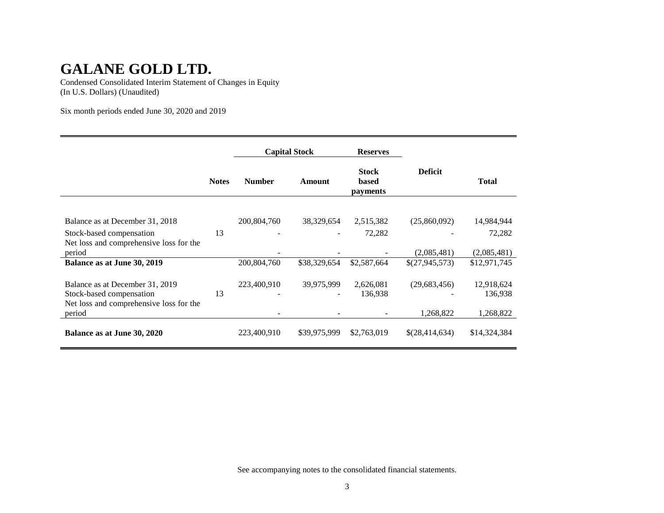Condensed Consolidated Interim Statement of Changes in Equity (In U.S. Dollars) (Unaudited)

Six month periods ended June 30, 2020 and 2019

|                                                   |              | <b>Capital Stock</b> |              | <b>Reserves</b>                   |                |              |
|---------------------------------------------------|--------------|----------------------|--------------|-----------------------------------|----------------|--------------|
|                                                   | <b>Notes</b> | <b>Number</b>        | Amount       | <b>Stock</b><br>based<br>payments | <b>Deficit</b> | <b>Total</b> |
|                                                   |              |                      |              |                                   |                |              |
| Balance as at December 31, 2018                   |              | 200,804,760          | 38,329,654   | 2,515,382                         | (25,860,092)   | 14,984,944   |
| Stock-based compensation                          | 13           |                      |              | 72,282                            |                | 72,282       |
| Net loss and comprehensive loss for the<br>period |              |                      |              |                                   | (2,085,481)    | (2,085,481)  |
| Balance as at June 30, 2019                       |              | 200,804,760          | \$38,329,654 | \$2,587,664                       | \$(27,945,573) | \$12,971,745 |
|                                                   |              |                      |              |                                   |                |              |
| Balance as at December 31, 2019                   |              | 223,400,910          | 39,975,999   | 2,626,081                         | (29, 683, 456) | 12,918,624   |
| Stock-based compensation                          | 13           |                      |              | 136,938                           |                | 136,938      |
| Net loss and comprehensive loss for the<br>period |              |                      |              |                                   | 1,268,822      | 1,268,822    |
|                                                   |              |                      |              |                                   |                |              |
| Balance as at June 30, 2020                       |              | 223,400,910          | \$39,975,999 | \$2,763,019                       | \$(28,414,634) | \$14,324,384 |

See accompanying notes to the consolidated financial statements.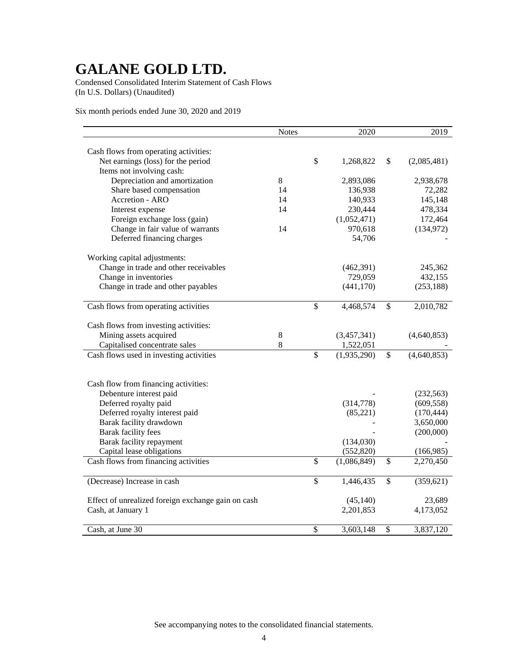Condensed Consolidated Interim Statement of Cash Flows (In U.S. Dollars) (Unaudited)

Six month periods ended June 30, 2020 and 2019

|                                                    | <b>Notes</b> |                          | 2020        |                 | 2019        |
|----------------------------------------------------|--------------|--------------------------|-------------|-----------------|-------------|
|                                                    |              |                          |             |                 |             |
| Cash flows from operating activities:              |              |                          |             |                 |             |
| Net earnings (loss) for the period                 |              | $\$$                     | 1,268,822   | \$              | (2,085,481) |
| Items not involving cash:                          |              |                          |             |                 |             |
| Depreciation and amortization                      | 8            |                          | 2,893,086   |                 | 2,938,678   |
| Share based compensation                           | 14           |                          | 136,938     |                 | 72,282      |
| Accretion - ARO                                    | 14           |                          | 140,933     |                 | 145,148     |
| Interest expense                                   | 14           |                          | 230,444     |                 | 478,334     |
| Foreign exchange loss (gain)                       |              |                          | (1,052,471) |                 | 172,464     |
| Change in fair value of warrants                   | 14           |                          | 970,618     |                 | (134, 972)  |
| Deferred financing charges                         |              |                          | 54,706      |                 |             |
| Working capital adjustments:                       |              |                          |             |                 |             |
| Change in trade and other receivables              |              |                          | (462,391)   |                 | 245,362     |
| Change in inventories                              |              |                          | 729,059     |                 | 432,155     |
| Change in trade and other payables                 |              |                          | (441, 170)  |                 | (253, 188)  |
|                                                    |              |                          |             |                 |             |
| Cash flows from operating activities               |              | \$                       | 4,468,574   | \$              | 2,010,782   |
| Cash flows from investing activities:              |              |                          |             |                 |             |
| Mining assets acquired                             | 8            |                          | (3,457,341) |                 | (4,640,853) |
| Capitalised concentrate sales                      | 8            |                          | 1,522,051   |                 |             |
| Cash flows used in investing activities            |              | $\overline{\mathcal{S}}$ | (1,935,290) | \$              | (4,640,853) |
|                                                    |              |                          |             |                 |             |
|                                                    |              |                          |             |                 |             |
| Cash flow from financing activities:               |              |                          |             |                 |             |
| Debenture interest paid                            |              |                          |             |                 | (232, 563)  |
| Deferred royalty paid                              |              |                          | (314,778)   |                 | (609, 558)  |
| Deferred royalty interest paid                     |              |                          | (85,221)    |                 | (170, 444)  |
| Barak facility drawdown                            |              |                          |             |                 | 3,650,000   |
| Barak facility fees                                |              |                          |             |                 | (200,000)   |
| Barak facility repayment                           |              |                          | (134,030)   |                 |             |
| Capital lease obligations                          |              |                          | (552, 820)  |                 | (166,985)   |
| Cash flows from financing activities               |              | $\overline{\$}$          | (1,086,849) | $\overline{\$}$ | 2,270,450   |
| (Decrease) Increase in cash                        |              | \$                       | 1,446,435   | \$              | (359, 621)  |
|                                                    |              |                          |             |                 |             |
| Effect of unrealized foreign exchange gain on cash |              |                          | (45, 140)   |                 | 23,689      |
| Cash, at January 1                                 |              |                          | 2,201,853   |                 | 4,173,052   |
| Cash, at June 30                                   |              | $\mathcal{S}$            | 3,603,148   | \$              | 3,837,120   |

See accompanying notes to the consolidated financial statements.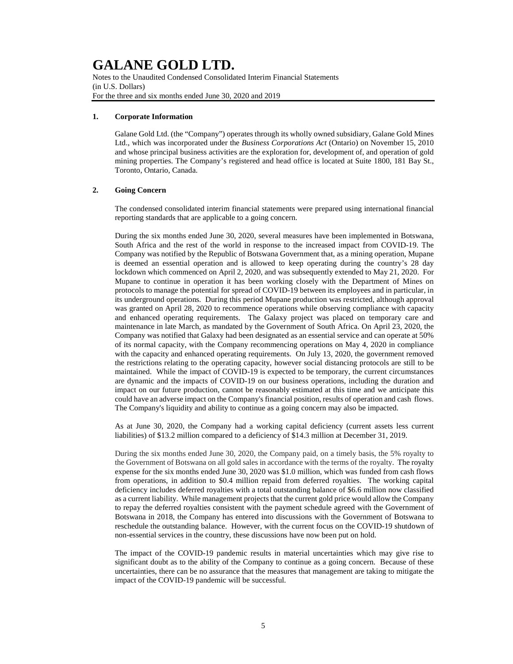Notes to the Unaudited Condensed Consolidated Interim Financial Statements (in U.S. Dollars) For the three and six months ended June 30, 2020 and 2019

#### **1. Corporate Information**

Galane Gold Ltd. (the "Company") operates through its wholly owned subsidiary, Galane Gold Mines Ltd., which was incorporated under the *Business Corporations Act* (Ontario) on November 15, 2010 and whose principal business activities are the exploration for, development of, and operation of gold mining properties. The Company's registered and head office is located at Suite 1800, 181 Bay St., Toronto, Ontario, Canada.

### **2. Going Concern**

The condensed consolidated interim financial statements were prepared using international financial reporting standards that are applicable to a going concern.

During the six months ended June 30, 2020, several measures have been implemented in Botswana, South Africa and the rest of the world in response to the increased impact from COVID-19. The Company was notified by the Republic of Botswana Government that, as a mining operation, Mupane is deemed an essential operation and is allowed to keep operating during the country's 28 day lockdown which commenced on April 2, 2020, and was subsequently extended to May 21, 2020. For Mupane to continue in operation it has been working closely with the Department of Mines on protocols to manage the potential for spread of COVID-19 between its employees and in particular, in its underground operations. During this period Mupane production was restricted, although approval was granted on April 28, 2020 to recommence operations while observing compliance with capacity and enhanced operating requirements. The Galaxy project was placed on temporary care and maintenance in late March, as mandated by the Government of South Africa. On April 23, 2020, the Company was notified that Galaxy had been designated as an essential service and can operate at 50% of its normal capacity, with the Company recommencing operations on May 4, 2020 in compliance with the capacity and enhanced operating requirements. On July 13, 2020, the government removed the restrictions relating to the operating capacity, however social distancing protocols are still to be maintained. While the impact of COVID-19 is expected to be temporary, the current circumstances are dynamic and the impacts of COVID-19 on our business operations, including the duration and impact on our future production, cannot be reasonably estimated at this time and we anticipate this could have an adverse impact on the Company's financial position, results of operation and cash flows. The Company's liquidity and ability to continue as a going concern may also be impacted.

As at June 30, 2020, the Company had a working capital deficiency (current assets less current liabilities) of \$13.2 million compared to a deficiency of \$14.3 million at December 31, 2019.

During the six months ended June 30, 2020, the Company paid, on a timely basis, the 5% royalty to the Government of Botswana on all gold sales in accordance with the terms of the royalty. The royalty expense for the six months ended June 30, 2020 was \$1.0 million, which was funded from cash flows from operations, in addition to \$0.4 million repaid from deferred royalties. The working capital deficiency includes deferred royalties with a total outstanding balance of \$6.6 million now classified as a current liability. While management projects that the current gold price would allow the Company to repay the deferred royalties consistent with the payment schedule agreed with the Government of Botswana in 2018, the Company has entered into discussions with the Government of Botswana to reschedule the outstanding balance. However, with the current focus on the COVID-19 shutdown of non-essential services in the country, these discussions have now been put on hold.

The impact of the COVID-19 pandemic results in material uncertainties which may give rise to significant doubt as to the ability of the Company to continue as a going concern. Because of these uncertainties, there can be no assurance that the measures that management are taking to mitigate the impact of the COVID-19 pandemic will be successful.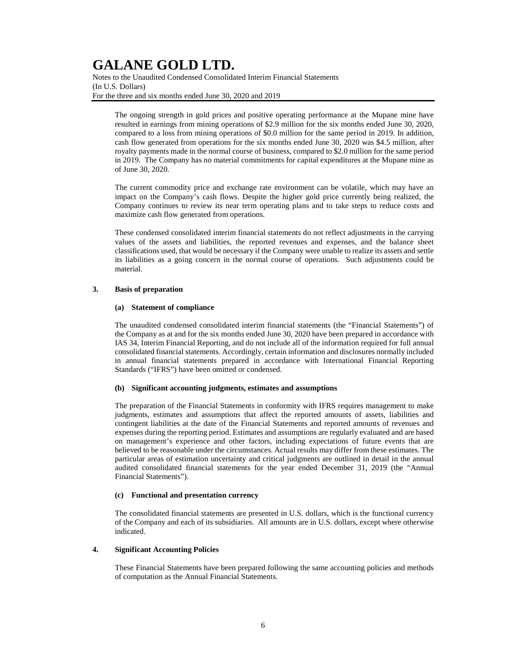Notes to the Unaudited Condensed Consolidated Interim Financial Statements (In U.S. Dollars) For the three and six months ended June 30, 2020 and 2019

The ongoing strength in gold prices and positive operating performance at the Mupane mine have resulted in earnings from mining operations of \$2.9 million for the six months ended June 30, 2020, compared to a loss from mining operations of \$0.0 million for the same period in 2019. In addition, cash flow generated from operations for the six months ended June 30, 2020 was \$4.5 million, after royalty payments made in the normal course of business, compared to \$2.0 million for the same period in 2019. The Company has no material commitments for capital expenditures at the Mupane mine as of June 30, 2020.

The current commodity price and exchange rate environment can be volatile, which may have an impact on the Company's cash flows. Despite the higher gold price currently being realized, the Company continues to review its near term operating plans and to take steps to reduce costs and maximize cash flow generated from operations.

These condensed consolidated interim financial statements do not reflect adjustments in the carrying values of the assets and liabilities, the reported revenues and expenses, and the balance sheet classifications used, that would be necessary if the Company were unable to realize its assets and settle its liabilities as a going concern in the normal course of operations. Such adjustments could be material.

### **3. Basis of preparation**

#### **(a) Statement of compliance**

The unaudited condensed consolidated interim financial statements (the "Financial Statements") of the Company as at and for the six months ended June 30, 2020 have been prepared in accordance with IAS 34, Interim Financial Reporting, and do not include all of the information required for full annual consolidated financial statements. Accordingly, certain information and disclosures normally included in annual financial statements prepared in accordance with International Financial Reporting Standards ("IFRS") have been omitted or condensed.

#### **(b) Significant accounting judgments, estimates and assumptions**

The preparation of the Financial Statements in conformity with IFRS requires management to make judgments, estimates and assumptions that affect the reported amounts of assets, liabilities and contingent liabilities at the date of the Financial Statements and reported amounts of revenues and expenses during the reporting period. Estimates and assumptions are regularly evaluated and are based on management's experience and other factors, including expectations of future events that are believed to be reasonable under the circumstances. Actual results may differ from these estimates. The particular areas of estimation uncertainty and critical judgments are outlined in detail in the annual audited consolidated financial statements for the year ended December 31, 2019 (the "Annual Financial Statements").

#### **(c) Functional and presentation currency**

The consolidated financial statements are presented in U.S. dollars, which is the functional currency of the Company and each of its subsidiaries. All amounts are in U.S. dollars, except where otherwise indicated.

#### **4. Significant Accounting Policies**

These Financial Statements have been prepared following the same accounting policies and methods of computation as the Annual Financial Statements.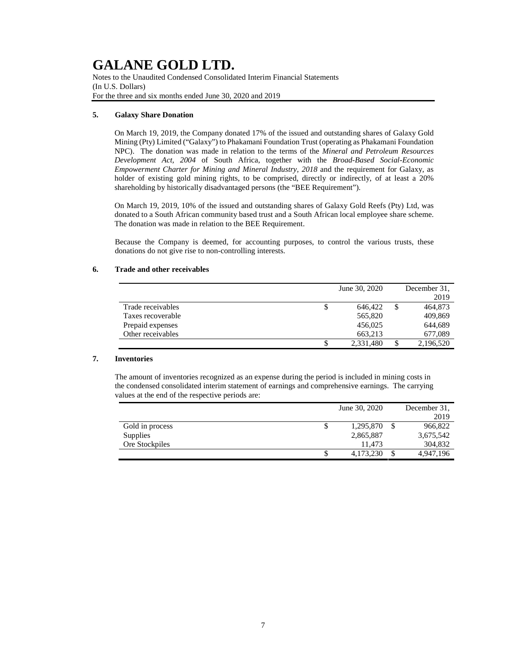Notes to the Unaudited Condensed Consolidated Interim Financial Statements (In U.S. Dollars) For the three and six months ended June 30, 2020 and 2019

### **5. Galaxy Share Donation**

On March 19, 2019, the Company donated 17% of the issued and outstanding shares of Galaxy Gold Mining (Pty) Limited ("Galaxy") to Phakamani Foundation Trust (operating as Phakamani Foundation NPC). The donation was made in relation to the terms of the *Mineral and Petroleum Resources Development Act, 2004* of South Africa, together with the *Broad-Based Social-Economic Empowerment Charter for Mining and Mineral Industry, 2018* and the requirement for Galaxy, as holder of existing gold mining rights, to be comprised, directly or indirectly, of at least a 20% shareholding by historically disadvantaged persons (the "BEE Requirement").

On March 19, 2019, 10% of the issued and outstanding shares of Galaxy Gold Reefs (Pty) Ltd, was donated to a South African community based trust and a South African local employee share scheme. The donation was made in relation to the BEE Requirement.

Because the Company is deemed, for accounting purposes, to control the various trusts, these donations do not give rise to non-controlling interests.

### **6. Trade and other receivables**

|                   | June 30, 2020   |   | December 31. |
|-------------------|-----------------|---|--------------|
|                   |                 |   | 2019         |
| Trade receivables | \$<br>646.422   | S | 464,873      |
| Taxes recoverable | 565,820         |   | 409,869      |
| Prepaid expenses  | 456.025         |   | 644.689      |
| Other receivables | 663.213         |   | 677,089      |
|                   | \$<br>2,331,480 | S | 2,196,520    |

### **7. Inventories**

The amount of inventories recognized as an expense during the period is included in mining costs in the condensed consolidated interim statement of earnings and comprehensive earnings. The carrying values at the end of the respective periods are:

|                 | June 30, 2020 |           |  | December 31, |  |  |
|-----------------|---------------|-----------|--|--------------|--|--|
|                 |               |           |  | 2019         |  |  |
| Gold in process | \$            | 1,295,870 |  | 966,822      |  |  |
| Supplies        |               | 2,865,887 |  | 3,675,542    |  |  |
| Ore Stockpiles  |               | 11.473    |  | 304.832      |  |  |
|                 | S             | 4.173.230 |  | 4.947.196    |  |  |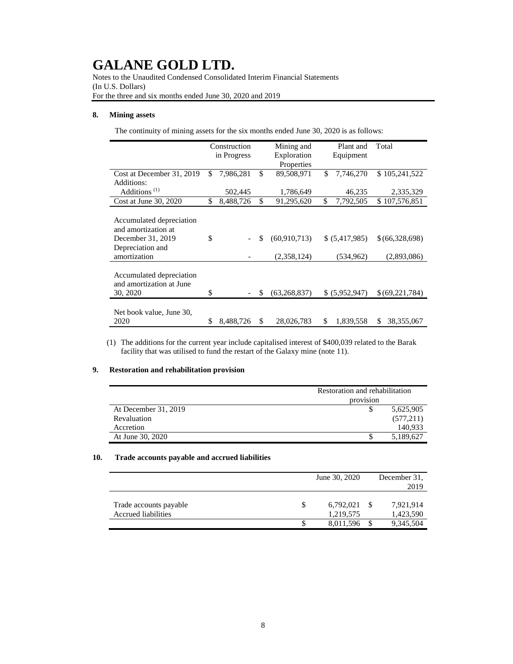Notes to the Unaudited Condensed Consolidated Interim Financial Statements (In U.S. Dollars) For the three and six months ended June 30, 2020 and 2019

### **8. Mining assets**

The continuity of mining assets for the six months ended June 30, 2020 is as follows:

|                                                                                                          | Construction<br>in Progress |           | Mining and<br>Exploration |                               | Plant and<br>Equipment |                             | Total                         |
|----------------------------------------------------------------------------------------------------------|-----------------------------|-----------|---------------------------|-------------------------------|------------------------|-----------------------------|-------------------------------|
|                                                                                                          | \$                          |           | \$                        | Properties                    | \$                     |                             |                               |
| Cost at December 31, 2019<br>Additions:                                                                  |                             | 7,986,281 |                           | 89,508,971                    |                        | 7,746,270                   | \$105,241,522                 |
| Additions <sup><math>(1)</math></sup>                                                                    |                             | 502,445   |                           | 1,786,649                     |                        | 46,235                      | 2,335,329                     |
| Cost at June 30, 2020                                                                                    | \$                          | 8,488,726 | \$                        | 91,295,620                    | \$                     | 7,792,505                   | \$107,576,851                 |
| Accumulated depreciation<br>and amortization at<br>December 31, 2019<br>Depreciation and<br>amortization | \$                          |           | \$                        | (60, 910, 713)<br>(2,358,124) |                        | \$ (5,417,985)<br>(534,962) | \$(66,328,698)<br>(2,893,086) |
| Accumulated depreciation<br>and amortization at June<br>30, 2020                                         | \$                          |           | S                         | (63, 268, 837)                |                        | \$ (5,952,947)              | \$(69,221,784)                |
| Net book value, June 30,<br>2020                                                                         | \$                          | 8,488,726 | \$                        | 28,026,783                    | \$                     | 1,839,558                   | 38, 355, 067<br>\$            |

(1) The additions for the current year include capitalised interest of \$400,039 related to the Barak facility that was utilised to fund the restart of the Galaxy mine (note 11).

### **9. Restoration and rehabilitation provision**

|                      | Restoration and rehabilitation |            |  |  |
|----------------------|--------------------------------|------------|--|--|
|                      | provision                      |            |  |  |
| At December 31, 2019 |                                | 5,625,905  |  |  |
| Revaluation          |                                | (577, 211) |  |  |
| Accretion            |                                | 140.933    |  |  |
| At June 30, 2020     |                                | 5,189,627  |  |  |

#### **10. Trade accounts payable and accrued liabilities**

|                                               | June 30, 2020 |                        |  | December 31.<br>2019   |  |  |
|-----------------------------------------------|---------------|------------------------|--|------------------------|--|--|
| Trade accounts payable<br>Accrued liabilities |               | 6,792,021<br>1,219,575 |  | 7,921,914<br>1,423,590 |  |  |
|                                               |               | 8,011,596              |  | 9,345,504              |  |  |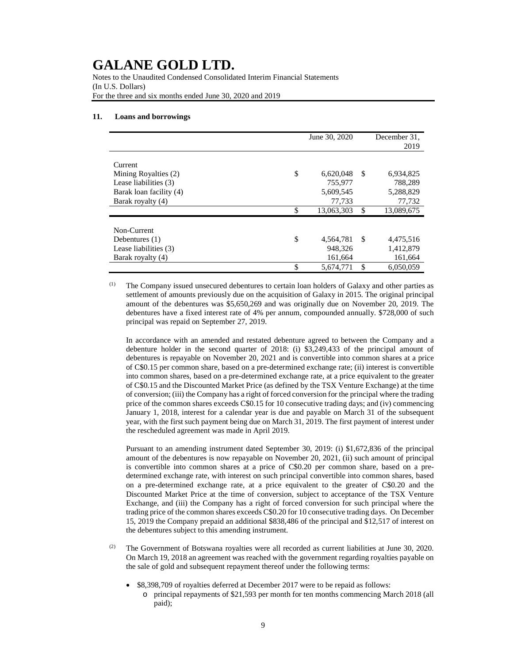Notes to the Unaudited Condensed Consolidated Interim Financial Statements (In U.S. Dollars) For the three and six months ended June 30, 2020 and 2019

#### **11. Loans and borrowings**

|                         | June 30, 2020    |     | December 31.<br>2019 |
|-------------------------|------------------|-----|----------------------|
| Current                 |                  |     |                      |
| Mining Royalties (2)    | \$<br>6,620,048  | -\$ | 6,934,825            |
| Lease liabilities (3)   | 755,977          |     | 788,289              |
| Barak loan facility (4) | 5,609,545        |     | 5,288,829            |
| Barak royalty (4)       | 77,733           |     | 77,732               |
|                         | \$<br>13,063,303 | \$  | 13,089,675           |
|                         |                  |     |                      |
| Non-Current             |                  |     |                      |
| Debentures $(1)$        | \$<br>4,564,781  | -S  | 4,475,516            |
| Lease liabilities (3)   | 948.326          |     | 1,412,879            |
| Barak royalty (4)       | 161,664          |     | 161,664              |
|                         | \$<br>5,674,771  | \$  | 6.050.059            |

(1) The Company issued unsecured debentures to certain loan holders of Galaxy and other parties as settlement of amounts previously due on the acquisition of Galaxy in 2015. The original principal amount of the debentures was \$5,650,269 and was originally due on November 20, 2019. The debentures have a fixed interest rate of 4% per annum, compounded annually. \$728,000 of such principal was repaid on September 27, 2019.

In accordance with an amended and restated debenture agreed to between the Company and a debenture holder in the second quarter of 2018: (i) \$3,249,433 of the principal amount of debentures is repayable on November 20, 2021 and is convertible into common shares at a price of C\$0.15 per common share, based on a pre-determined exchange rate; (ii) interest is convertible into common shares, based on a pre-determined exchange rate, at a price equivalent to the greater of C\$0.15 and the Discounted Market Price (as defined by the TSX Venture Exchange) at the time of conversion; (iii) the Company has a right of forced conversion for the principal where the trading price of the common shares exceeds C\$0.15 for 10 consecutive trading days; and (iv) commencing January 1, 2018, interest for a calendar year is due and payable on March 31 of the subsequent year, with the first such payment being due on March 31, 2019. The first payment of interest under the rescheduled agreement was made in April 2019.

Pursuant to an amending instrument dated September 30, 2019: (i) \$1,672,836 of the principal amount of the debentures is now repayable on November 20, 2021, (ii) such amount of principal is convertible into common shares at a price of C\$0.20 per common share, based on a predetermined exchange rate, with interest on such principal convertible into common shares, based on a pre-determined exchange rate, at a price equivalent to the greater of C\$0.20 and the Discounted Market Price at the time of conversion, subject to acceptance of the TSX Venture Exchange, and (iii) the Company has a right of forced conversion for such principal where the trading price of the common shares exceeds C\$0.20 for 10 consecutive trading days. On December 15, 2019 the Company prepaid an additional \$838,486 of the principal and \$12,517 of interest on the debentures subject to this amending instrument.

(2) The Government of Botswana royalties were all recorded as current liabilities at June 30, 2020. On March 19, 2018 an agreement was reached with the government regarding royalties payable on the sale of gold and subsequent repayment thereof under the following terms:

- \$8,398,709 of royalties deferred at December 2017 were to be repaid as follows:
	- o principal repayments of \$21,593 per month for ten months commencing March 2018 (all paid);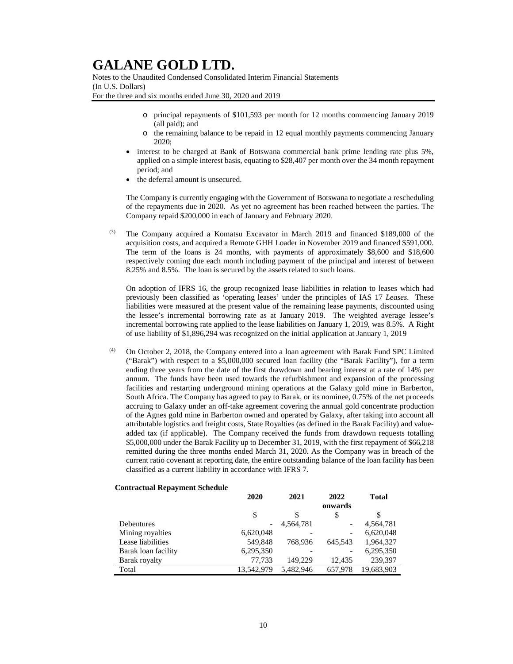Notes to the Unaudited Condensed Consolidated Interim Financial Statements (In U.S. Dollars) For the three and six months ended June 30, 2020 and 2019

- o principal repayments of \$101,593 per month for 12 months commencing January 2019 (all paid); and
- o the remaining balance to be repaid in 12 equal monthly payments commencing January 2020;
- interest to be charged at Bank of Botswana commercial bank prime lending rate plus 5%, applied on a simple interest basis, equating to \$28,407 per month over the 34 month repayment period; and
- the deferral amount is unsecured.

The Company is currently engaging with the Government of Botswana to negotiate a rescheduling of the repayments due in 2020. As yet no agreement has been reached between the parties. The Company repaid \$200,000 in each of January and February 2020.

The Company acquired a Komatsu Excavator in March 2019 and financed \$189,000 of the acquisition costs, and acquired a Remote GHH Loader in November 2019 and financed \$591,000. The term of the loans is 24 months, with payments of approximately \$8,600 and \$18,600 respectively coming due each month including payment of the principal and interest of between 8.25% and 8.5%. The loan is secured by the assets related to such loans.

On adoption of IFRS 16, the group recognized lease liabilities in relation to leases which had previously been classified as 'operating leases' under the principles of IAS 17 *Leases*. These liabilities were measured at the present value of the remaining lease payments, discounted using the lessee's incremental borrowing rate as at January 2019. The weighted average lessee's incremental borrowing rate applied to the lease liabilities on January 1, 2019, was 8.5%. A Right of use liability of \$1,896,294 was recognized on the initial application at January 1, 2019

 $(4)$  On October 2, 2018, the Company entered into a loan agreement with Barak Fund SPC Limited ("Barak") with respect to a \$5,000,000 secured loan facility (the "Barak Facility"), for a term ending three years from the date of the first drawdown and bearing interest at a rate of 14% per annum. The funds have been used towards the refurbishment and expansion of the processing facilities and restarting underground mining operations at the Galaxy gold mine in Barberton, South Africa. The Company has agreed to pay to Barak, or its nominee, 0.75% of the net proceeds accruing to Galaxy under an off-take agreement covering the annual gold concentrate production of the Agnes gold mine in Barberton owned and operated by Galaxy, after taking into account all attributable logistics and freight costs, State Royalties (as defined in the Barak Facility) and valueadded tax (if applicable). The Company received the funds from drawdown requests totalling \$5,000,000 under the Barak Facility up to December 31, 2019, with the first repayment of \$66,218 remitted during the three months ended March 31, 2020. As the Company was in breach of the current ratio covenant at reporting date, the entire outstanding balance of the loan facility has been classified as a current liability in accordance with IFRS 7.

### **Contractual Repayment Schedule**

|                     | 2020       | 2021      | 2022            | <b>Total</b> |
|---------------------|------------|-----------|-----------------|--------------|
|                     |            |           | onwards         |              |
|                     | \$         | S         | \$              | \$           |
| Debentures          |            | 4.564.781 | $\qquad \qquad$ | 4.564.781    |
| Mining royalties    | 6,620,048  |           | -               | 6,620,048    |
| Lease liabilities   | 549,848    | 768.936   | 645.543         | 1,964,327    |
| Barak loan facility | 6,295,350  |           | ۰               | 6,295,350    |
| Barak royalty       | 77.733     | 149.229   | 12.435          | 239.397      |
| Total               | 13.542.979 | 5.482.946 | 657.978         | 19,683,903   |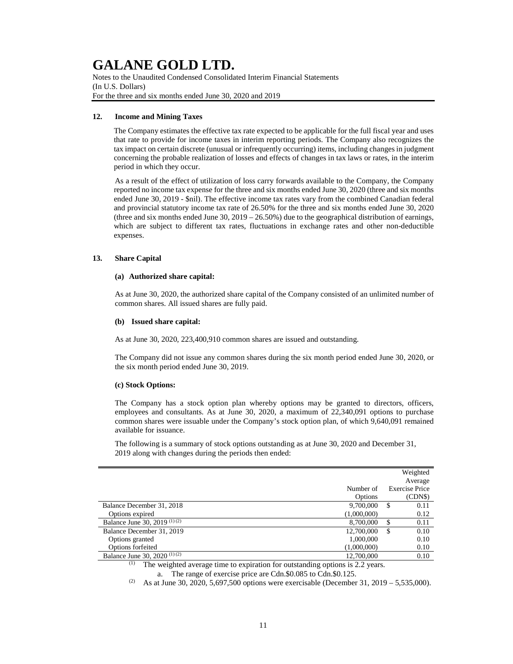Notes to the Unaudited Condensed Consolidated Interim Financial Statements (In U.S. Dollars) For the three and six months ended June 30, 2020 and 2019

### **12. Income and Mining Taxes**

The Company estimates the effective tax rate expected to be applicable for the full fiscal year and uses that rate to provide for income taxes in interim reporting periods. The Company also recognizes the tax impact on certain discrete (unusual or infrequently occurring) items, including changes in judgment concerning the probable realization of losses and effects of changes in tax laws or rates, in the interim period in which they occur.

As a result of the effect of utilization of loss carry forwards available to the Company, the Company reported no income tax expense for the three and six months ended June 30, 2020 (three and six months ended June 30, 2019 - \$nil). The effective income tax rates vary from the combined Canadian federal and provincial statutory income tax rate of 26.50% for the three and six months ended June 30, 2020 (three and six months ended June 30,  $2019 - 26.50\%$ ) due to the geographical distribution of earnings, which are subject to different tax rates, fluctuations in exchange rates and other non-deductible expenses.

### **13. Share Capital**

### **(a) Authorized share capital:**

As at June 30, 2020, the authorized share capital of the Company consisted of an unlimited number of common shares. All issued shares are fully paid.

### **(b) Issued share capital:**

As at June 30, 2020, 223,400,910 common shares are issued and outstanding.

The Company did not issue any common shares during the six month period ended June 30, 2020, or the six month period ended June 30, 2019.

### **(c) Stock Options:**

The Company has a stock option plan whereby options may be granted to directors, officers, employees and consultants. As at June 30, 2020, a maximum of 22,340,091 options to purchase common shares were issuable under the Company's stock option plan, of which 9,640,091 remained available for issuance.

The following is a summary of stock options outstanding as at June 30, 2020 and December 31, 2019 along with changes during the periods then ended:

|                                         |             |    | Weighted<br>Average   |
|-----------------------------------------|-------------|----|-----------------------|
|                                         | Number of   |    | <b>Exercise Price</b> |
|                                         | Options     |    | (CDN\$)               |
| Balance December 31, 2018               | 9,700,000   | S  | 0.11                  |
| Options expired                         | (1,000,000) |    | 0.12                  |
| Balance June 30, 2019 (1)(2)            | 8,700,000   | \$ | 0.11                  |
| Balance December 31, 2019               | 12,700,000  | S  | 0.10                  |
| Options granted                         | 1,000,000   |    | 0.10                  |
| Options forfeited                       | (1,000,000) |    | 0.10                  |
| Balance June 30, 2020 <sup>(1)(2)</sup> | 12,700,000  |    | 0.10                  |

(1) The weighted average time to expiration for outstanding options is 2.2 years.

a. The range of exercise price are Cdn.\$0.085 to Cdn.\$0.125.

<sup>(2)</sup> As at June 30, 2020, 5,697,500 options were exercisable (December 31, 2019 – 5,535,000).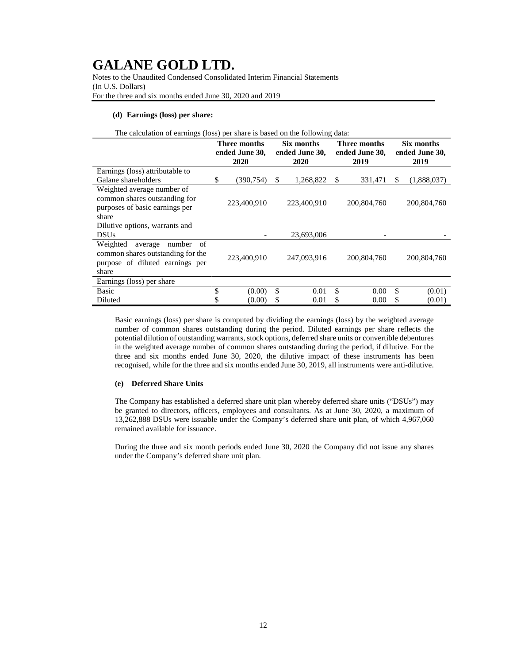Notes to the Unaudited Condensed Consolidated Interim Financial Statements (In U.S. Dollars) For the three and six months ended June 30, 2020 and 2019

#### **(d) Earnings (loss) per share:**

| The calculation of earnings (loss) per share is based on the following data:                                         |                                        |             |    |                                      |    |                                        |               |                                      |  |
|----------------------------------------------------------------------------------------------------------------------|----------------------------------------|-------------|----|--------------------------------------|----|----------------------------------------|---------------|--------------------------------------|--|
|                                                                                                                      | Three months<br>ended June 30,<br>2020 |             |    | Six months<br>ended June 30,<br>2020 |    | Three months<br>ended June 30,<br>2019 |               | Six months<br>ended June 30,<br>2019 |  |
| Earnings (loss) attributable to                                                                                      |                                        |             |    |                                      |    |                                        |               |                                      |  |
| Galane shareholders                                                                                                  | \$                                     | (390, 754)  | \$ | 1,268,822                            | \$ | 331,471                                | <sup>\$</sup> | (1,888,037)                          |  |
| Weighted average number of<br>common shares outstanding for<br>purposes of basic earnings per<br>share               |                                        | 223,400,910 |    | 223,400,910                          |    | 200,804,760                            |               | 200,804,760                          |  |
| Dilutive options, warrants and                                                                                       |                                        |             |    |                                      |    |                                        |               |                                      |  |
| <b>DSUs</b>                                                                                                          |                                        |             |    | 23,693,006                           |    |                                        |               |                                      |  |
| Weighted<br>number<br>of<br>average<br>common shares outstanding for the<br>purpose of diluted earnings per<br>share |                                        | 223,400,910 |    | 247,093,916                          |    | 200,804,760                            |               | 200,804,760                          |  |
| Earnings (loss) per share                                                                                            |                                        |             |    |                                      |    |                                        |               |                                      |  |
| <b>Basic</b>                                                                                                         | \$                                     | (0.00)      | \$ | 0.01                                 | \$ | 0.00                                   | \$            | (0.01)                               |  |
| Diluted                                                                                                              | \$                                     | (0.00)      | S  | 0.01                                 | \$ | 0.00                                   | \$            | (0.01)                               |  |
|                                                                                                                      |                                        |             |    |                                      |    |                                        |               |                                      |  |

Basic earnings (loss) per share is computed by dividing the earnings (loss) by the weighted average number of common shares outstanding during the period. Diluted earnings per share reflects the potential dilution of outstanding warrants, stock options, deferred share units or convertible debentures in the weighted average number of common shares outstanding during the period, if dilutive. For the three and six months ended June 30, 2020, the dilutive impact of these instruments has been recognised, while for the three and six months ended June 30, 2019, all instruments were anti-dilutive.

### **(e) Deferred Share Units**

The Company has established a deferred share unit plan whereby deferred share units ("DSUs") may be granted to directors, officers, employees and consultants. As at June 30, 2020, a maximum of 13,262,888 DSUs were issuable under the Company's deferred share unit plan, of which 4,967,060 remained available for issuance.

During the three and six month periods ended June 30, 2020 the Company did not issue any shares under the Company's deferred share unit plan.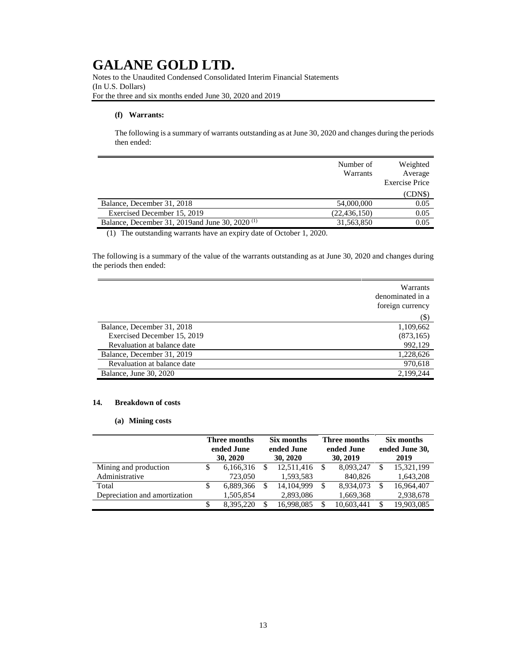Notes to the Unaudited Condensed Consolidated Interim Financial Statements (In U.S. Dollars) For the three and six months ended June 30, 2020 and 2019

### **(f) Warrants:**

The following is a summary of warrants outstanding as at June 30, 2020 and changes during the periods then ended:

|                                                            | Number of<br><b>Warrants</b> | Weighted<br>Average<br><b>Exercise Price</b> |
|------------------------------------------------------------|------------------------------|----------------------------------------------|
|                                                            |                              | (CDNS)                                       |
| Balance, December 31, 2018                                 | 54,000,000                   | 0.05                                         |
| Exercised December 15, 2019                                | (22, 436, 150)               | 0.05                                         |
| Balance, December 31, 2019and June 30, 2020 <sup>(1)</sup> | 31,563,850                   | 0.05                                         |

(1) The outstanding warrants have an expiry date of October 1, 2020.

The following is a summary of the value of the warrants outstanding as at June 30, 2020 and changes during the periods then ended:

|                             | Warrants<br>denominated in a<br>foreign currency |
|-----------------------------|--------------------------------------------------|
|                             | (\$)                                             |
| Balance, December 31, 2018  | 1,109,662                                        |
| Exercised December 15, 2019 | (873, 165)                                       |
| Revaluation at balance date | 992,129                                          |
| Balance, December 31, 2019  | 1,228,626                                        |
| Revaluation at balance date | 970,618                                          |
| Balance, June 30, 2020      | 2,199,244                                        |

### **14. Breakdown of costs**

#### **(a) Mining costs**

|                               |   | Three months<br>ended June |     | Six months<br>ended June |  | Three months<br>ended June |  | Six months<br>ended June 30, |  |
|-------------------------------|---|----------------------------|-----|--------------------------|--|----------------------------|--|------------------------------|--|
|                               |   | 30, 2020                   |     | 30, 2020                 |  | 30, 2019                   |  | 2019                         |  |
| Mining and production         | S | 6,166,316                  | S   | 12,511,416               |  | 8,093,247                  |  | 15,321,199                   |  |
| Administrative                |   | 723,050                    |     | 1,593,583                |  | 840,826                    |  | 1,643,208                    |  |
| Total                         | S | 6,889,366                  | \$. | 14, 104, 999             |  | 8,934,073                  |  | 16,964,407                   |  |
| Depreciation and amortization |   | 1,505,854                  |     | 2,893,086                |  | 1,669,368                  |  | 2,938,678                    |  |
|                               |   | 8.395.220                  | S   | 16,998,085               |  | 10,603,441                 |  | 19,903,085                   |  |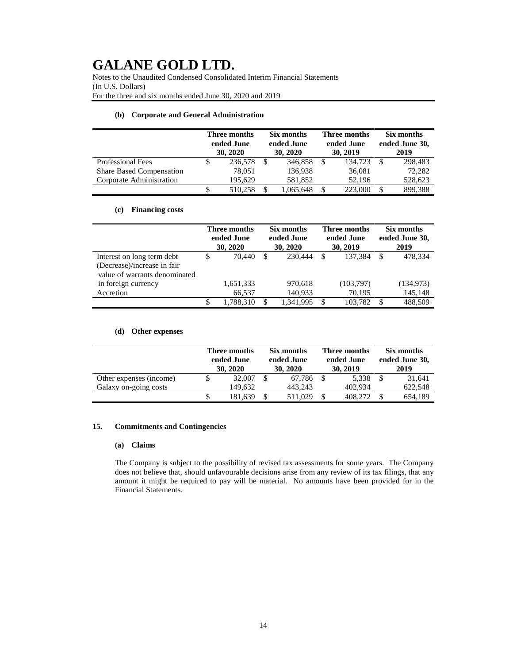Notes to the Unaudited Condensed Consolidated Interim Financial Statements (In U.S. Dollars) For the three and six months ended June 30, 2020 and 2019

### **(b) Corporate and General Administration**

|                                 | Three months<br>ended June<br>30, 2020 |  | Six months<br>ended June<br>30, 2020 |  | Three months<br>ended June<br>30, 2019 |  | Six months<br>ended June 30,<br>2019 |  |
|---------------------------------|----------------------------------------|--|--------------------------------------|--|----------------------------------------|--|--------------------------------------|--|
| <b>Professional Fees</b>        | 236,578                                |  | 346,858                              |  | 134.723                                |  | 298,483                              |  |
| <b>Share Based Compensation</b> | 78,051                                 |  | 136,938                              |  | 36,081                                 |  | 72,282                               |  |
| Corporate Administration        | 195.629                                |  | 581,852                              |  | 52.196                                 |  | 528,623                              |  |
|                                 | 510.258                                |  | 1,065,648                            |  | 223,000                                |  | 899,388                              |  |

### **(c) Financing costs**

|                               | Three months<br>ended June<br>30, 2020 |           | Six months<br>ended June<br>30, 2020 |           | <b>Three months</b><br>ended June<br>30, 2019 |           | Six months<br>ended June 30,<br>2019 |            |
|-------------------------------|----------------------------------------|-----------|--------------------------------------|-----------|-----------------------------------------------|-----------|--------------------------------------|------------|
| Interest on long term debt    | \$                                     | 70,440    | <sup>\$</sup>                        | 230,444   | S                                             | 137.384   | S                                    | 478,334    |
| (Decrease)/increase in fair   |                                        |           |                                      |           |                                               |           |                                      |            |
| value of warrants denominated |                                        |           |                                      |           |                                               |           |                                      |            |
| in foreign currency           |                                        | 1,651,333 |                                      | 970,618   |                                               | (103,797) |                                      | (134, 973) |
| Accretion                     |                                        | 66,537    |                                      | 140,933   |                                               | 70,195    |                                      | 145,148    |
|                               | \$                                     | 1,788,310 | <sup>\$</sup>                        | 1,341,995 | \$.                                           | 103.782   |                                      | 488,509    |

### **(d) Other expenses**

|                         | Three months<br>ended June<br>30, 2020 |  | Six months<br>ended June<br>30, 2020 |  | Three months<br>ended June<br>30, 2019 |  | Six months<br>ended June 30,<br>2019 |  |
|-------------------------|----------------------------------------|--|--------------------------------------|--|----------------------------------------|--|--------------------------------------|--|
| Other expenses (income) | 32,007                                 |  | 67.786                               |  | 5.338                                  |  | 31.641                               |  |
| Galaxy on-going costs   | 149.632                                |  | 443.243                              |  | 402.934                                |  | 622,548                              |  |
|                         | 181.639                                |  | 511.029                              |  | 408.272                                |  | 654,189                              |  |

### **15. Commitments and Contingencies**

### **(a) Claims**

The Company is subject to the possibility of revised tax assessments for some years. The Company does not believe that, should unfavourable decisions arise from any review of its tax filings, that any amount it might be required to pay will be material. No amounts have been provided for in the Financial Statements.